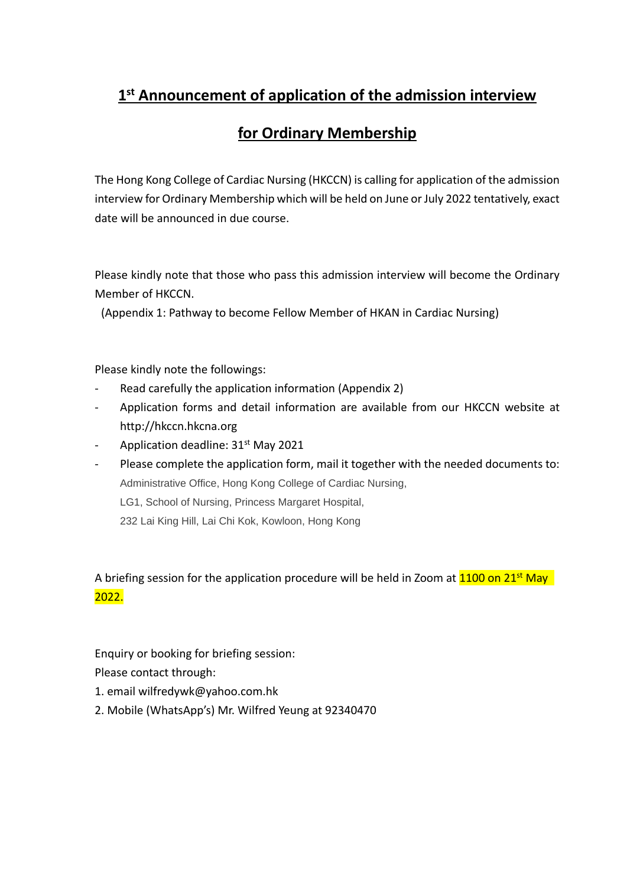# **1st Announcement of application of the admission interview**

# **for Ordinary Membership**

The Hong Kong College of Cardiac Nursing (HKCCN) is calling for application of the admission interview for Ordinary Membership which will be held on June or July 2022 tentatively, exact date will be announced in due course.

Please kindly note that those who pass this admission interview will become the Ordinary Member of HKCCN.

(Appendix 1: Pathway to become Fellow Member of HKAN in Cardiac Nursing)

Please kindly note the followings:

- Read carefully the application information (Appendix 2)
- Application forms and detail information are available from our HKCCN website at http://hkccn.hkcna.org
- Application deadline: 31<sup>st</sup> May 2021
- Please complete the application form, mail it together with the needed documents to: Administrative Office, Hong Kong College of Cardiac Nursing, LG1, School of Nursing, Princess Margaret Hospital, 232 Lai King Hill, Lai Chi Kok, Kowloon, Hong Kong

## A briefing session for the application procedure will be held in Zoom at  $1100$  on  $21^{st}$  May 2022.

Enquiry or booking for briefing session:

Please contact through:

- 1. email wilfredywk@yahoo.com.hk
- 2. Mobile (WhatsApp's) Mr. Wilfred Yeung at 92340470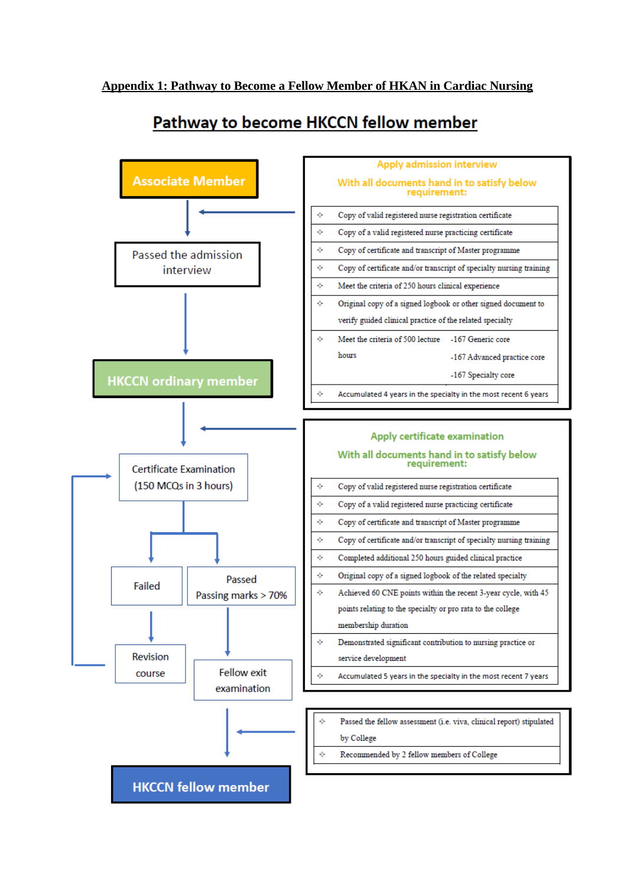# Pathway to become HKCCN fellow member

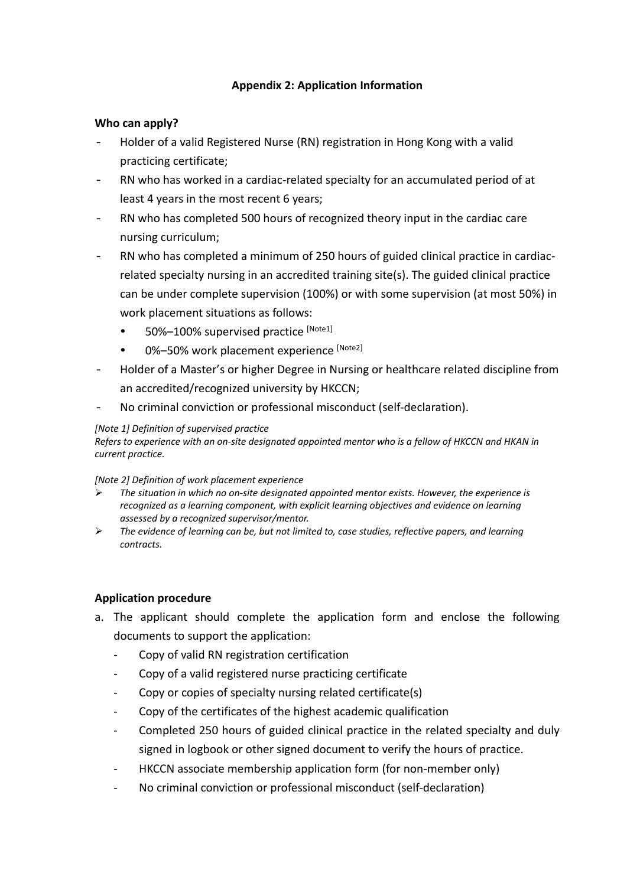### **Appendix 2: Application Information**

### **Who can apply?**

- Holder of a valid Registered Nurse (RN) registration in Hong Kong with a valid practicing certificate;
- RN who has worked in a cardiac-related specialty for an accumulated period of at least 4 years in the most recent 6 years;
- RN who has completed 500 hours of recognized theory input in the cardiac care nursing curriculum;
- RN who has completed a minimum of 250 hours of guided clinical practice in cardiacrelated specialty nursing in an accredited training site(s). The guided clinical practice can be under complete supervision (100%) or with some supervision (at most 50%) in work placement situations as follows:
	- 50%–100% supervised practice [Note1]
	- 0%-50% work placement experience [Note2]
- Holder of a Master's or higher Degree in Nursing or healthcare related discipline from an accredited/recognized university by HKCCN;
- No criminal conviction or professional misconduct (self-declaration).

#### *[Note 1] Definition of supervised practice*

*Refers to experience with an on-site designated appointed mentor who is a fellow of HKCCN and HKAN in current practice.*

*[Note 2] Definition of work placement experience*

- *The situation in which no on-site designated appointed mentor exists. However, the experience is recognized as a learning component, with explicit learning objectives and evidence on learning assessed by a recognized supervisor/mentor.*
- *The evidence of learning can be, but not limited to, case studies, reflective papers, and learning contracts.*

### **Application procedure**

- a. The applicant should complete the application form and enclose the following documents to support the application:
	- Copy of valid RN registration certification
	- Copy of a valid registered nurse practicing certificate
	- Copy or copies of specialty nursing related certificate(s)
	- Copy of the certificates of the highest academic qualification
	- Completed 250 hours of guided clinical practice in the related specialty and duly signed in logbook or other signed document to verify the hours of practice.
	- HKCCN associate membership application form (for non-member only)
	- No criminal conviction or professional misconduct (self-declaration)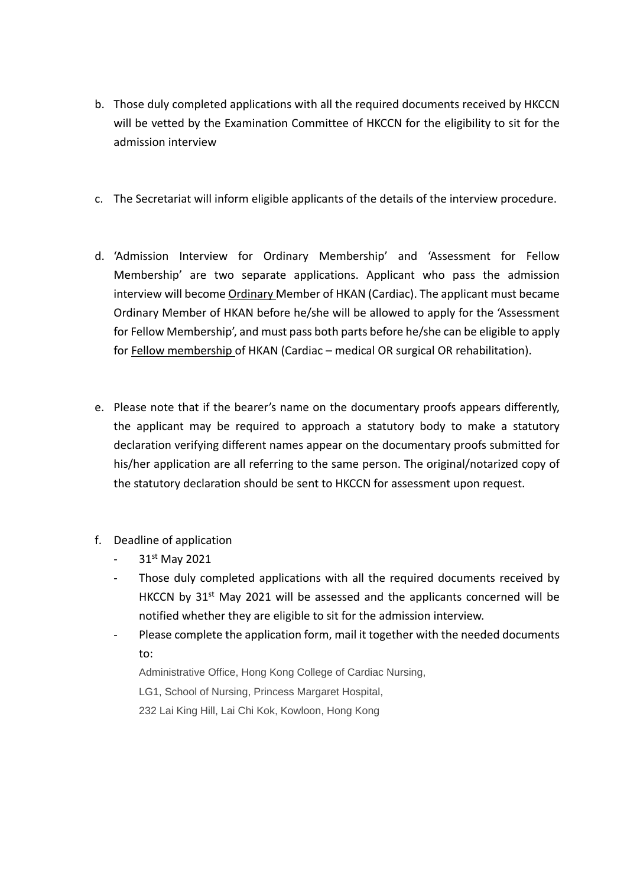- b. Those duly completed applications with all the required documents received by HKCCN will be vetted by the Examination Committee of HKCCN for the eligibility to sit for the admission interview
- c. The Secretariat will inform eligible applicants of the details of the interview procedure.
- d. 'Admission Interview for Ordinary Membership' and 'Assessment for Fellow Membership' are two separate applications. Applicant who pass the admission interview will become Ordinary Member of HKAN (Cardiac). The applicant must became Ordinary Member of HKAN before he/she will be allowed to apply for the 'Assessment for Fellow Membership', and must pass both parts before he/she can be eligible to apply for Fellow membership of HKAN (Cardiac – medical OR surgical OR rehabilitation).
- e. Please note that if the bearer's name on the documentary proofs appears differently, the applicant may be required to approach a statutory body to make a statutory declaration verifying different names appear on the documentary proofs submitted for his/her application are all referring to the same person. The original/notarized copy of the statutory declaration should be sent to HKCCN for assessment upon request.
- f. Deadline of application
	- 31st May 2021
	- Those duly completed applications with all the required documents received by HKCCN by 31<sup>st</sup> May 2021 will be assessed and the applicants concerned will be notified whether they are eligible to sit for the admission interview.
	- Please complete the application form, mail it together with the needed documents to:

Administrative Office, Hong Kong College of Cardiac Nursing,

LG1, School of Nursing, Princess Margaret Hospital,

232 Lai King Hill, Lai Chi Kok, Kowloon, Hong Kong